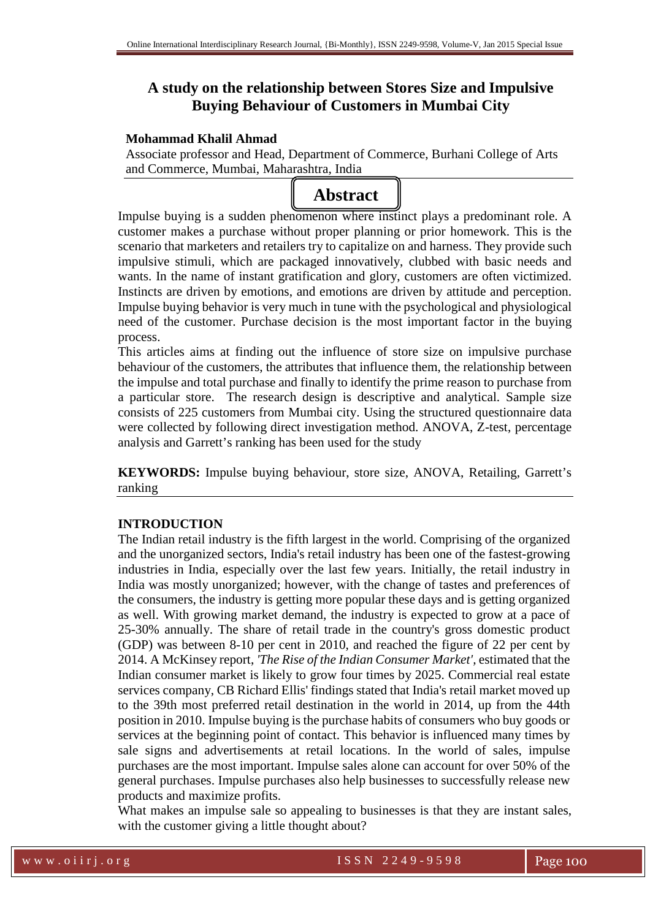# **A study on the relationship between Stores Size and Impulsive Buying Behaviour of Customers in Mumbai City**

# **Mohammad Khalil Ahmad**

Associate professor and Head, Department of Commerce, Burhani College of Arts and Commerce, Mumbai, Maharashtra, India



Impulse buying is a sudden phenomenon where instinct plays a predominant role. A customer makes a purchase without proper planning or prior homework. This is the scenario that marketers and retailers try to capitalize on and harness. They provide such impulsive stimuli, which are packaged innovatively, clubbed with basic needs and wants. In the name of instant gratification and glory, customers are often victimized. Instincts are driven by emotions, and emotions are driven by attitude and perception. Impulse buying behavior is very much in tune with the psychological and physiological need of the customer. Purchase decision is the most important factor in the buying process.

This articles aims at finding out the influence of store size on impulsive purchase behaviour of the customers, the attributes that influence them, the relationship between the impulse and total purchase and finally to identify the prime reason to purchase from a particular store. The research design is descriptive and analytical. Sample size consists of 225 customers from Mumbai city. Using the structured questionnaire data were collected by following direct investigation method. ANOVA, Z-test, percentage analysis and Garrett's ranking has been used for the study

**KEYWORDS:** Impulse buying behaviour, store size, ANOVA, Retailing, Garrett's ranking

# **INTRODUCTION**

The Indian retail industry is the fifth largest in the world. Comprising of the organized and the unorganized sectors, India's retail industry has been one of the fastest-growing industries in India, especially over the last few years. Initially, the retail industry in India was mostly unorganized; however, with the change of tastes and preferences of the consumers, the industry is getting more popular these days and is getting organized as well. With growing market demand, the industry is expected to grow at a pace of 25-30% annually. The share of retail trade in the country's gross domestic product (GDP) was between 8-10 per cent in 2010, and reached the figure of 22 per cent by 2014. A McKinsey report, *'The Rise of the Indian Consumer Market',* estimated that the Indian consumer market is likely to grow four times by 2025. Commercial real estate services company, CB Richard Ellis' findings stated that India's retail market moved up to the 39th most preferred retail destination in the world in 2014, up from the 44th position in 2010. Impulse buying is the purchase habits of consumers who buy goods or services at the beginning point of contact. This behavior is influenced many times by sale signs and advertisements at retail locations. In the world of sales, impulse purchases are the most important. Impulse sales alone can account for over 50% of the general purchases. Impulse purchases also help businesses to successfully release new products and maximize profits.

What makes an impulse sale so appealing to businesses is that they are instant sales, with the customer giving a little thought about?

w w w . o i i r j . o r g I S S N 2 2 4 9 - 9 5 9 8 Page 100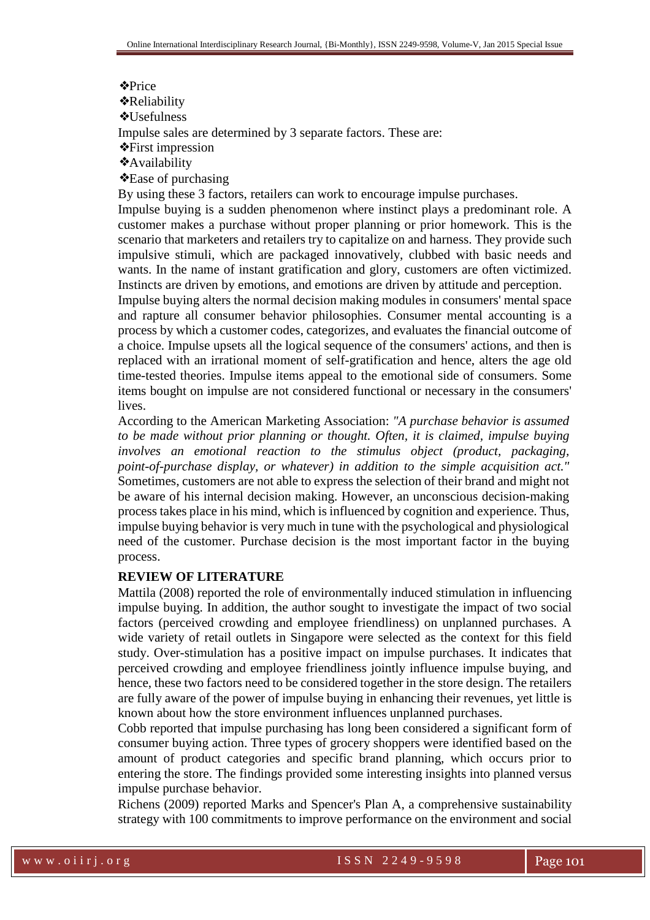#### ❖Price

❖Reliability

❖Usefulness

Impulse sales are determined by 3 separate factors. These are:

❖First impression

❖Availability

❖Ease of purchasing

By using these 3 factors, retailers can work to encourage impulse purchases.

Impulse buying is a sudden phenomenon where instinct plays a predominant role. A customer makes a purchase without proper planning or prior homework. This is the scenario that marketers and retailers try to capitalize on and harness. They provide such impulsive stimuli, which are packaged innovatively, clubbed with basic needs and wants. In the name of instant gratification and glory, customers are often victimized. Instincts are driven by emotions, and emotions are driven by attitude and perception.

Impulse buying alters the normal decision making modules in consumers' mental space and rapture all consumer behavior philosophies. Consumer mental accounting is a process by which a customer codes, categorizes, and evaluates the financial outcome of a choice. Impulse upsets all the logical sequence of the consumers' actions, and then is replaced with an irrational moment of self-gratification and hence, alters the age old time-tested theories. Impulse items appeal to the emotional side of consumers. Some items bought on impulse are not considered functional or necessary in the consumers' lives.

According to the American Marketing Association: *"A purchase behavior is assumed to be made without prior planning or thought. Often, it is claimed, impulse buying involves an emotional reaction to the stimulus object (product, packaging, point-of-purchase display, or whatever) in addition to the simple acquisition act."*  Sometimes, customers are not able to express the selection of their brand and might not be aware of his internal decision making. However, an unconscious decision-making process takes place in his mind, which is influenced by cognition and experience. Thus, impulse buying behavior is very much in tune with the psychological and physiological need of the customer. Purchase decision is the most important factor in the buying process.

# **REVIEW OF LITERATURE**

Mattila (2008) reported the role of environmentally induced stimulation in influencing impulse buying. In addition, the author sought to investigate the impact of two social factors (perceived crowding and employee friendliness) on unplanned purchases. A wide variety of retail outlets in Singapore were selected as the context for this field study. Over-stimulation has a positive impact on impulse purchases. It indicates that perceived crowding and employee friendliness jointly influence impulse buying, and hence, these two factors need to be considered together in the store design. The retailers are fully aware of the power of impulse buying in enhancing their revenues, yet little is known about how the store environment influences unplanned purchases.

Cobb reported that impulse purchasing has long been considered a significant form of consumer buying action. Three types of grocery shoppers were identified based on the amount of product categories and specific brand planning, which occurs prior to entering the store. The findings provided some interesting insights into planned versus impulse purchase behavior.

Richens (2009) reported Marks and Spencer's Plan A, a comprehensive sustainability strategy with 100 commitments to improve performance on the environment and social

w w w . o i i r j . o r g I S S N 2 2 4 9 - 9 5 9 8 Page 101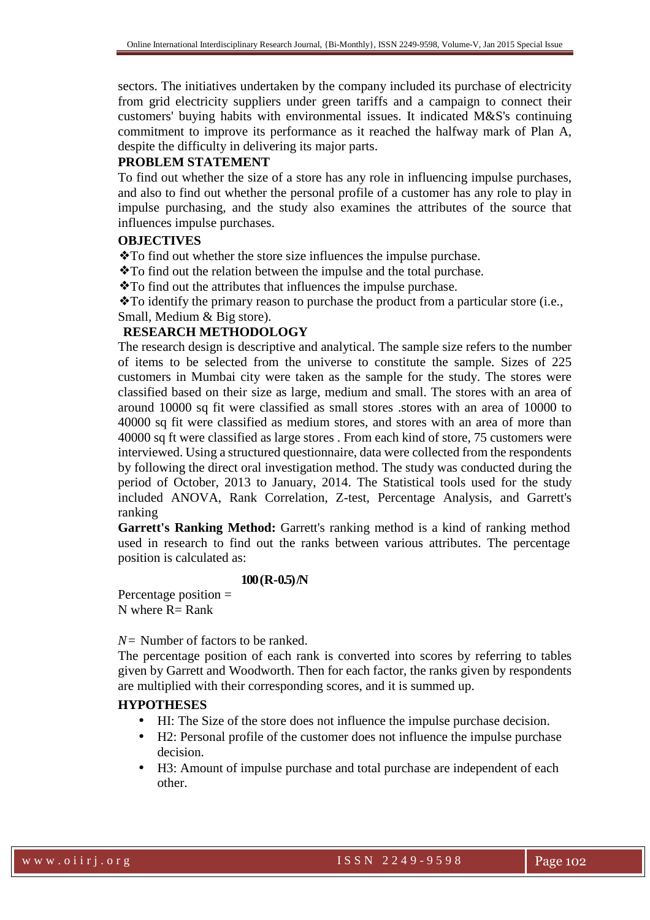sectors. The initiatives undertaken by the company included its purchase of electricity from grid electricity suppliers under green tariffs and a campaign to connect their customers' buying habits with environmental issues. It indicated M&S's continuing commitment to improve its performance as it reached the halfway mark of Plan A, despite the difficulty in delivering its major parts.

# **PROBLEM STATEMENT**

To find out whether the size of a store has any role in influencing impulse purchases, and also to find out whether the personal profile of a customer has any role to play in impulse purchasing, and the study also examines the attributes of the source that influences impulse purchases.

#### **OBJECTIVES**

❖To find out whether the store size influences the impulse purchase.

❖To find out the relation between the impulse and the total purchase.

❖To find out the attributes that influences the impulse purchase.

❖To identify the primary reason to purchase the product from a particular store (i.e., Small, Medium & Big store).

# **RESEARCH METHODOLOGY**

The research design is descriptive and analytical. The sample size refers to the number of items to be selected from the universe to constitute the sample. Sizes of 225 customers in Mumbai city were taken as the sample for the study. The stores were classified based on their size as large, medium and small. The stores with an area of around 10000 sq fit were classified as small stores .stores with an area of 10000 to 40000 sq fit were classified as medium stores, and stores with an area of more than 40000 sq ft were classified as large stores . From each kind of store, 75 customers were interviewed. Using a structured questionnaire, data were collected from the respondents by following the direct oral investigation method. The study was conducted during the period of October, 2013 to January, 2014. The Statistical tools used for the study included ANOVA, Rank Correlation, Z-test, Percentage Analysis, and Garrett's ranking

**Garrett's Ranking Method:** Garrett's ranking method is a kind of ranking method used in research to find out the ranks between various attributes. The percentage position is calculated as:

#### **100 (R-0.5) /N**

Percentage position = N where  $R = Rank$ 

*N=* Number of factors to be ranked.

The percentage position of each rank is converted into scores by referring to tables given by Garrett and Woodworth. Then for each factor, the ranks given by respondents are multiplied with their corresponding scores, and it is summed up.

#### **HYPOTHESES**

- HI: The Size of the store does not influence the impulse purchase decision.
- H2: Personal profile of the customer does not influence the impulse purchase decision.
- H3: Amount of impulse purchase and total purchase are independent of each other.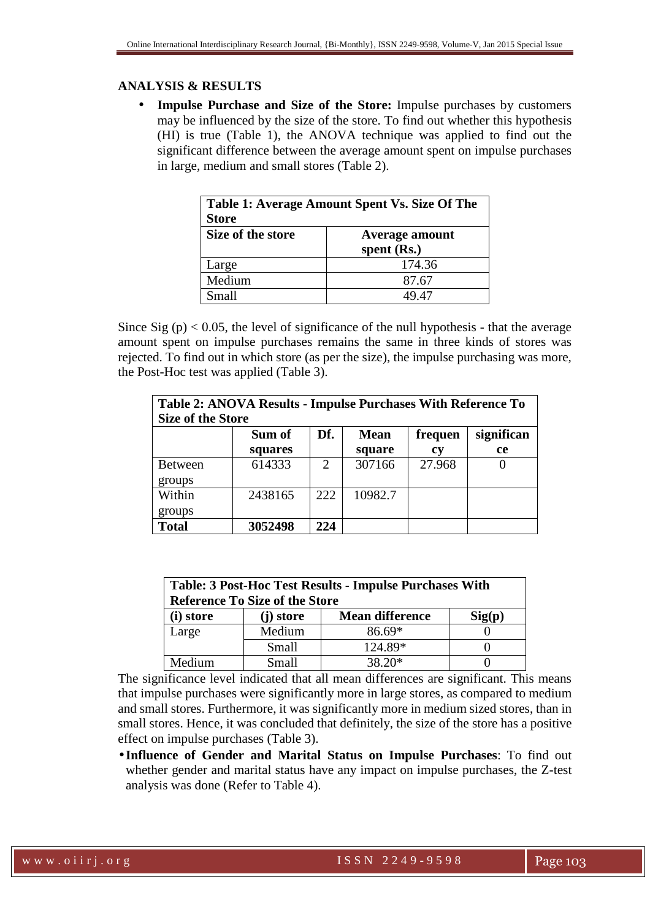# **ANALYSIS & RESULTS**

• **Impulse Purchase and Size of the Store:** Impulse purchases by customers may be influenced by the size of the store. To find out whether this hypothesis (HI) is true (Table 1), the ANOVA technique was applied to find out the significant difference between the average amount spent on impulse purchases in large, medium and small stores (Table 2).

| Table 1: Average Amount Spent Vs. Size Of The |                       |  |
|-----------------------------------------------|-----------------------|--|
| <b>Store</b>                                  |                       |  |
| Size of the store                             | <b>Average amount</b> |  |
|                                               | spent $(Rs.)$         |  |
| Large                                         | 174.36                |  |
| Medium                                        | 87.67                 |  |
| Small                                         | 49 47                 |  |

Since Sig  $(p)$  < 0.05, the level of significance of the null hypothesis - that the average amount spent on impulse purchases remains the same in three kinds of stores was rejected. To find out in which store (as per the size), the impulse purchasing was more, the Post-Hoc test was applied (Table 3).

|                          | Table 2: ANOVA Results - Impulse Purchases With Reference To |                             |             |           |            |
|--------------------------|--------------------------------------------------------------|-----------------------------|-------------|-----------|------------|
| <b>Size of the Store</b> |                                                              |                             |             |           |            |
|                          | Sum of                                                       | Df.                         | <b>Mean</b> | frequen   | significan |
|                          | squares                                                      |                             | square      | <b>CV</b> | <b>ce</b>  |
| <b>Between</b>           | 614333                                                       | $\mathcal{D}_{\mathcal{L}}$ | 307166      | 27.968    |            |
| groups                   |                                                              |                             |             |           |            |
| Within                   | 2438165                                                      | 222                         | 10982.7     |           |            |
| groups                   |                                                              |                             |             |           |            |
| <b>Total</b>             | 3052498                                                      | 224                         |             |           |            |

| <b>Table: 3 Post-Hoc Test Results - Impulse Purchases With</b><br><b>Reference To Size of the Store</b> |           |                        |        |  |
|---------------------------------------------------------------------------------------------------------|-----------|------------------------|--------|--|
| (i) store                                                                                               | (j) store | <b>Mean difference</b> | Sig(p) |  |
| Large                                                                                                   | Medium    | $86.69*$               |        |  |
|                                                                                                         | Small     | 124.89*                |        |  |
| Medium                                                                                                  | Small     | $38.20*$               |        |  |

The significance level indicated that all mean differences are significant. This means that impulse purchases were significantly more in large stores, as compared to medium and small stores. Furthermore, it was significantly more in medium sized stores, than in small stores. Hence, it was concluded that definitely, the size of the store has a positive effect on impulse purchases (Table 3).

• **Influence of Gender and Marital Status on Impulse Purchases**: To find out whether gender and marital status have any impact on impulse purchases, the Z-test analysis was done (Refer to Table 4).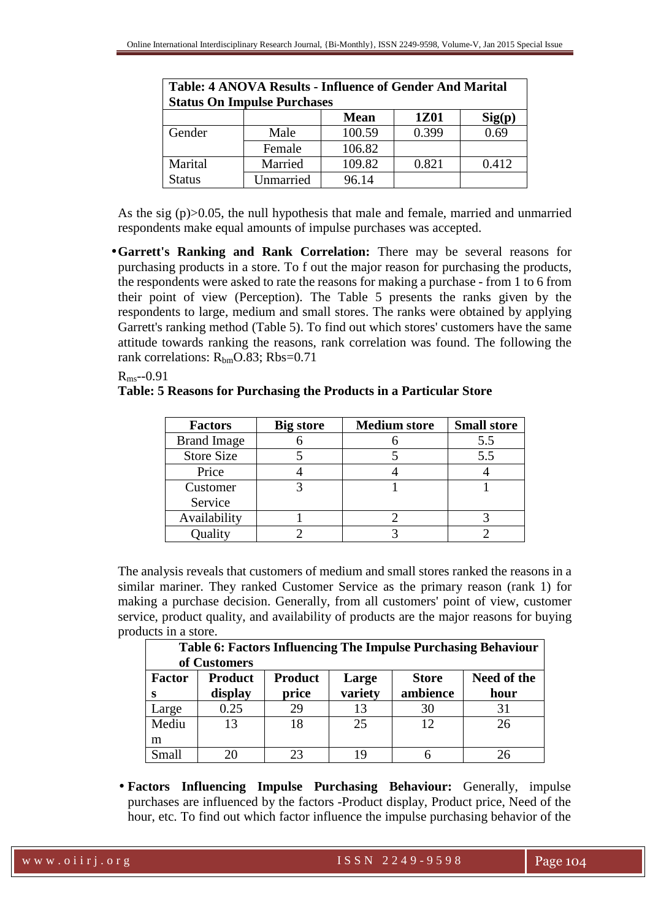| <b>Table: 4 ANOVA Results - Influence of Gender And Marital</b> |           |             |       |                          |  |
|-----------------------------------------------------------------|-----------|-------------|-------|--------------------------|--|
| <b>Status On Impulse Purchases</b>                              |           |             |       |                          |  |
|                                                                 |           | <b>Mean</b> | 1Z01  | $\text{Sig}(\mathbf{p})$ |  |
| Gender                                                          | Male      | 100.59      | 0.399 | 0.69                     |  |
|                                                                 | Female    | 106.82      |       |                          |  |
| Marital                                                         | Married   | 109.82      | 0.821 | 0.412                    |  |
| Status                                                          | Unmarried | 96.14       |       |                          |  |

As the sig (p)>0.05, the null hypothesis that male and female, married and unmarried respondents make equal amounts of impulse purchases was accepted.

•**Garrett's Ranking and Rank Correlation:** There may be several reasons for purchasing products in a store. To f out the major reason for purchasing the products, the respondents were asked to rate the reasons for making a purchase - from 1 to 6 from their point of view (Perception). The Table 5 presents the ranks given by the respondents to large, medium and small stores. The ranks were obtained by applying Garrett's ranking method (Table 5). To find out which stores' customers have the same attitude towards ranking the reasons, rank correlation was found. The following the rank correlations:  $R_{bm}O.83$ ;  $Rbs=0.71$ 

Rms--0.91

# **Table: 5 Reasons for Purchasing the Products in a Particular Store**

| <b>Factors</b>     | <b>Big store</b> | <b>Medium store</b> | <b>Small store</b> |
|--------------------|------------------|---------------------|--------------------|
| <b>Brand Image</b> |                  |                     | 5.5                |
| <b>Store Size</b>  |                  |                     | 5.5                |
| Price              |                  |                     |                    |
| Customer           |                  |                     |                    |
| Service            |                  |                     |                    |
| Availability       |                  |                     |                    |
| Quality            |                  |                     |                    |

The analysis reveals that customers of medium and small stores ranked the reasons in a similar mariner. They ranked Customer Service as the primary reason (rank 1) for making a purchase decision. Generally, from all customers' point of view, customer service, product quality, and availability of products are the major reasons for buying products in a store.

|                                                                                                                                                   | <b>Table 6: Factors Influencing The Impulse Purchasing Behaviour</b><br>of Customers |    |    |    |    |
|---------------------------------------------------------------------------------------------------------------------------------------------------|--------------------------------------------------------------------------------------|----|----|----|----|
| <b>Product</b><br><b>Product</b><br>Need of the<br><b>Factor</b><br><b>Store</b><br>Large<br>variety<br>ambience<br>price<br>display<br>hour<br>s |                                                                                      |    |    |    |    |
| Large                                                                                                                                             | 0.25                                                                                 | 29 | 13 | 30 | 31 |
| Mediu                                                                                                                                             | 13                                                                                   | 18 | 25 | 12 | 26 |
| m                                                                                                                                                 |                                                                                      |    |    |    |    |
| Small                                                                                                                                             |                                                                                      | 23 | 19 |    | 26 |

• **Factors Influencing Impulse Purchasing Behaviour:** Generally, impulse purchases are influenced by the factors -Product display, Product price, Need of the hour, etc. To find out which factor influence the impulse purchasing behavior of the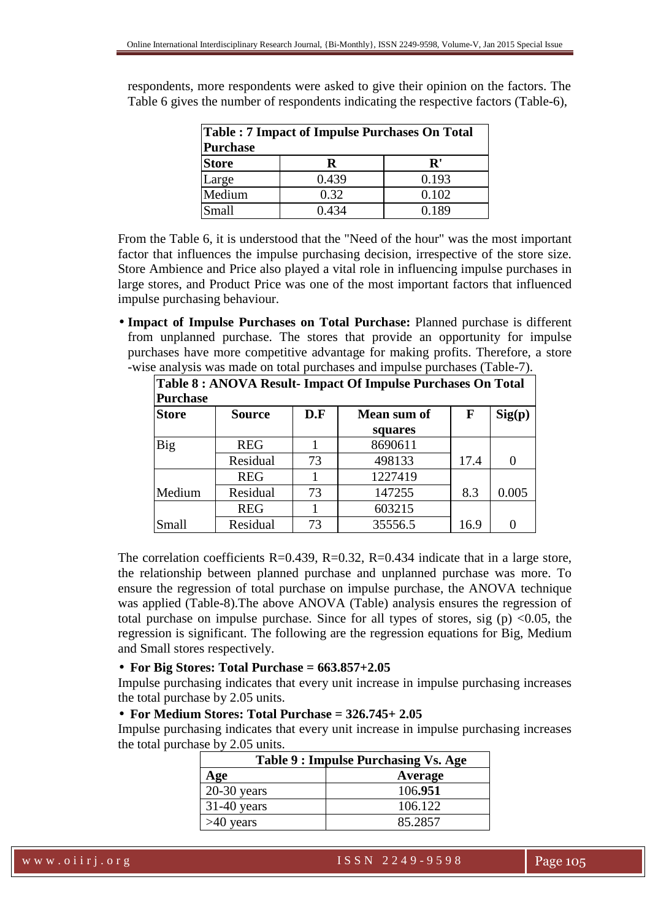| <b>Table : 7 Impact of Impulse Purchases On Total</b><br><b>Purchase</b> |       |            |  |
|--------------------------------------------------------------------------|-------|------------|--|
| <b>Store</b>                                                             | R     | ${\bf R}'$ |  |
| Large                                                                    | 0.439 | 0.193      |  |
| Medium                                                                   | 0.32  | 0.102      |  |
| Small                                                                    | 0.434 | 0.189      |  |

respondents, more respondents were asked to give their opinion on the factors. The Table 6 gives the number of respondents indicating the respective factors (Table-6),

From the Table 6, it is understood that the "Need of the hour" was the most important factor that influences the impulse purchasing decision, irrespective of the store size. Store Ambience and Price also played a vital role in influencing impulse purchases in large stores, and Product Price was one of the most important factors that influenced impulse purchasing behaviour.

• **Impact of Impulse Purchases on Total Purchase:** Planned purchase is different from unplanned purchase. The stores that provide an opportunity for impulse purchases have more competitive advantage for making profits. Therefore, a store -wise analysis was made on total purchases and impulse purchases (Table-7).

| Table 8 : ANOVA Result- Impact Of Impulse Purchases On Total<br><b>Purchase</b> |               |     |             |              |        |
|---------------------------------------------------------------------------------|---------------|-----|-------------|--------------|--------|
| <b>Store</b>                                                                    | <b>Source</b> | D.F | Mean sum of | $\mathbf{F}$ | Sig(p) |
|                                                                                 |               |     | squares     |              |        |
| <b>Big</b>                                                                      | <b>REG</b>    |     | 8690611     |              |        |
|                                                                                 | Residual      | 73  | 498133      | 17.4         | 0      |
|                                                                                 | <b>REG</b>    |     | 1227419     |              |        |
| Medium                                                                          | Residual      | 73  | 147255      | 8.3          | 0.005  |
|                                                                                 | <b>REG</b>    |     | 603215      |              |        |
| Small                                                                           | Residual      | 73  | 35556.5     | 16.9         |        |

The correlation coefficients  $R=0.439$ ,  $R=0.32$ ,  $R=0.434$  indicate that in a large store, the relationship between planned purchase and unplanned purchase was more. To ensure the regression of total purchase on impulse purchase, the ANOVA technique was applied (Table-8).The above ANOVA (Table) analysis ensures the regression of total purchase on impulse purchase. Since for all types of stores, sig  $(p)$  <0.05, the regression is significant. The following are the regression equations for Big, Medium and Small stores respectively.

# • **For Big Stores: Total Purchase = 663.857+2.05**

Impulse purchasing indicates that every unit increase in impulse purchasing increases the total purchase by 2.05 units.

# • **For Medium Stores: Total Purchase = 326.745+ 2.05**

Impulse purchasing indicates that every unit increase in impulse purchasing increases the total purchase by 2.05 units.

| Table 9 : Impulse Purchasing Vs. Age |         |  |
|--------------------------------------|---------|--|
| Age                                  | Average |  |
| $20-30$ years                        | 106.951 |  |
| $31-40$ years                        | 106.122 |  |
| $>40$ years                          | 85.2857 |  |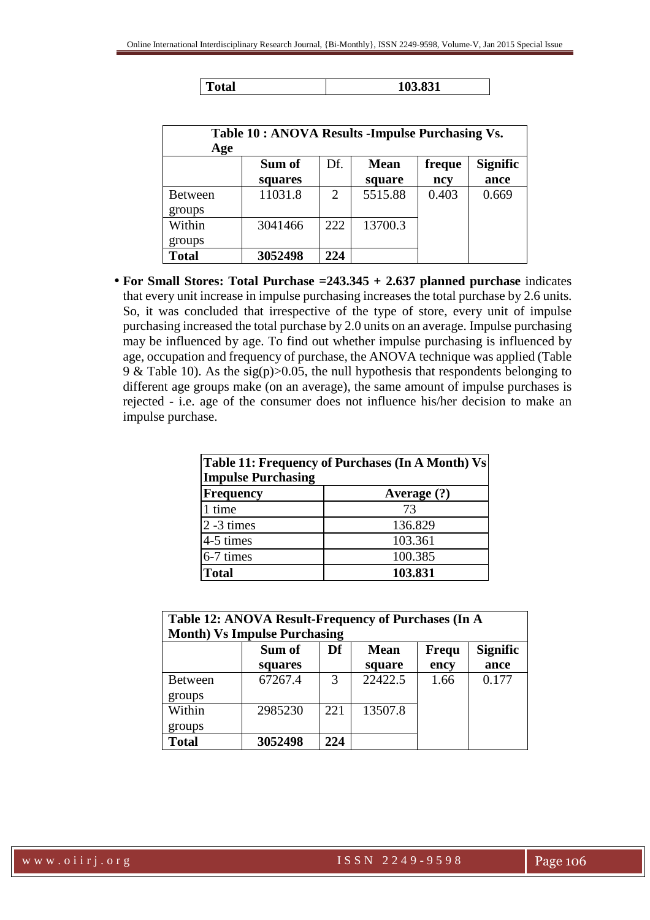| Age            | Table 10 : ANOVA Results - Impulse Purchasing Vs. |                       |             |        |                 |
|----------------|---------------------------------------------------|-----------------------|-------------|--------|-----------------|
|                | Sum of                                            | Df.                   | <b>Mean</b> | freque | <b>Signific</b> |
|                | squares                                           |                       | square      | ncy    | ance            |
| <b>Between</b> | 11031.8                                           | $\mathcal{D}_{\cdot}$ | 5515.88     | 0.403  | 0.669           |
| groups         |                                                   |                       |             |        |                 |
| Within         | 3041466                                           | 222                   | 13700.3     |        |                 |
| groups         |                                                   |                       |             |        |                 |
| <b>Total</b>   | 3052498                                           | 224                   |             |        |                 |

• **For Small Stores: Total Purchase =243.345 + 2.637 planned purchase** indicates that every unit increase in impulse purchasing increases the total purchase by 2.6 units. So, it was concluded that irrespective of the type of store, every unit of impulse purchasing increased the total purchase by 2.0 units on an average. Impulse purchasing may be influenced by age. To find out whether impulse purchasing is influenced by age, occupation and frequency of purchase, the ANOVA technique was applied (Table 9 & Table 10). As the sig(p) $>0.05$ , the null hypothesis that respondents belonging to different age groups make (on an average), the same amount of impulse purchases is rejected - i.e. age of the consumer does not influence his/her decision to make an impulse purchase.

| Table 11: Frequency of Purchases (In A Month) Vs<br><b>Impulse Purchasing</b> |             |  |
|-------------------------------------------------------------------------------|-------------|--|
| <b>Frequency</b>                                                              | Average (?) |  |
| 1 time                                                                        | 73          |  |
| $2 - 3$ times                                                                 | 136.829     |  |
| 4-5 times                                                                     | 103.361     |  |
| 6-7 times                                                                     | 100.385     |  |
| <b>Total</b>                                                                  | 103.831     |  |

| Table 12: ANOVA Result-Frequency of Purchases (In A<br><b>Month) Vs Impulse Purchasing</b> |                   |     |                       |               |                         |  |
|--------------------------------------------------------------------------------------------|-------------------|-----|-----------------------|---------------|-------------------------|--|
|                                                                                            | Sum of<br>squares | Df  | <b>Mean</b><br>square | Frequ<br>ency | <b>Signific</b><br>ance |  |
| <b>Between</b><br>groups                                                                   | 67267.4           | 3   | 22422.5               | 1.66          | 0.177                   |  |
| Within<br>groups                                                                           | 2985230           | 221 | 13507.8               |               |                         |  |
| <b>Total</b>                                                                               | 3052498           | 224 |                       |               |                         |  |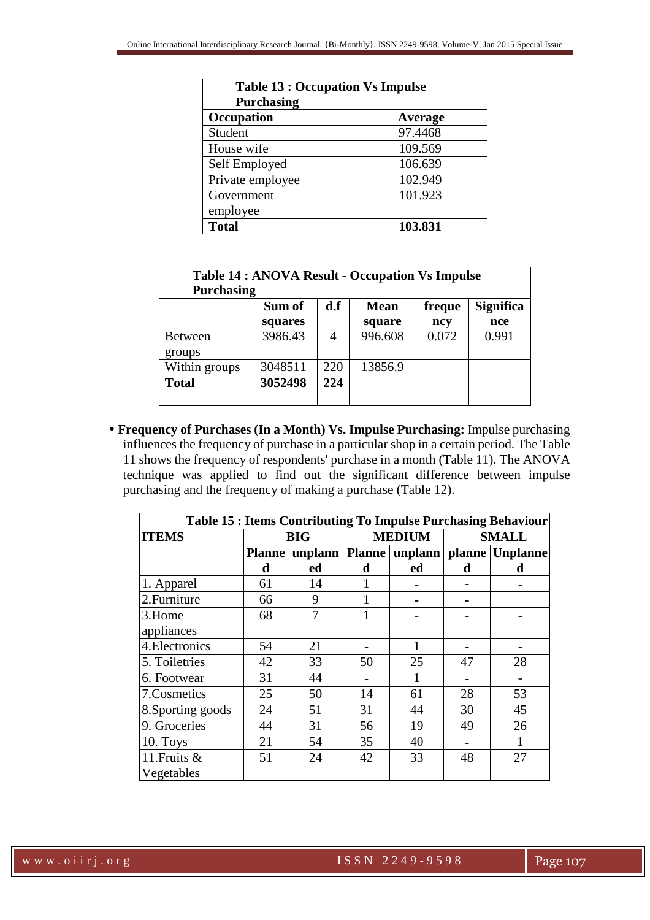| <b>Table 13 : Occupation Vs Impulse</b> |         |  |  |  |
|-----------------------------------------|---------|--|--|--|
| <b>Purchasing</b>                       |         |  |  |  |
| Occupation                              | Average |  |  |  |
| Student                                 | 97.4468 |  |  |  |
| House wife                              | 109.569 |  |  |  |
| Self Employed                           | 106.639 |  |  |  |
| Private employee                        | 102.949 |  |  |  |
| Government                              | 101.923 |  |  |  |
| employee                                |         |  |  |  |
| <b>Total</b>                            | 103.831 |  |  |  |

| <b>Table 14: ANOVA Result - Occupation Vs Impulse</b><br><b>Purchasing</b> |         |                               |             |        |                  |
|----------------------------------------------------------------------------|---------|-------------------------------|-------------|--------|------------------|
|                                                                            | Sum of  | $\mathbf{d} \cdot \mathbf{f}$ | <b>Mean</b> | freque | <b>Significa</b> |
|                                                                            | squares |                               | square      | ncy    | nce              |
| <b>Between</b>                                                             | 3986.43 |                               | 996.608     | 0.072  | 0.991            |
| groups                                                                     |         |                               |             |        |                  |
| Within groups                                                              | 3048511 | 220                           | 13856.9     |        |                  |
| <b>Total</b>                                                               | 3052498 | 224                           |             |        |                  |
|                                                                            |         |                               |             |        |                  |

• **Frequency of Purchases (In a Month) Vs. Impulse Purchasing:** Impulse purchasing influences the frequency of purchase in a particular shop in a certain period. The Table 11 shows the frequency of respondents' purchase in a month (Table 11). The ANOVA technique was applied to find out the significant difference between impulse purchasing and the frequency of making a purchase (Table 12).

| Table 15 : Items Contributing To Impulse Purchasing Behaviour |               |    |               |    |              |                                                |
|---------------------------------------------------------------|---------------|----|---------------|----|--------------|------------------------------------------------|
| <b>ITEMS</b>                                                  | <b>BIG</b>    |    | <b>MEDIUM</b> |    | <b>SMALL</b> |                                                |
|                                                               | <b>Planne</b> |    |               |    |              | unplann   Planne   unplann   planne   Unplanne |
|                                                               | d             | ed | d             | ed | d            | d                                              |
| 1. Apparel                                                    | 61            | 14 |               |    |              |                                                |
| 2. Furniture                                                  | 66            | 9  |               |    |              |                                                |
| 3.Home                                                        | 68            | 7  |               |    |              |                                                |
| appliances                                                    |               |    |               |    |              |                                                |
| 4. Electronics                                                | 54            | 21 |               | 1  |              |                                                |
| 5. Toiletries                                                 | 42            | 33 | 50            | 25 | 47           | 28                                             |
| 6. Footwear                                                   | 31            | 44 |               | 1  |              |                                                |
| 7.Cosmetics                                                   | 25            | 50 | 14            | 61 | 28           | 53                                             |
| 8. Sporting goods                                             | 24            | 51 | 31            | 44 | 30           | 45                                             |
| 9. Groceries                                                  | 44            | 31 | 56            | 19 | 49           | 26                                             |
| 10. Toys                                                      | 21            | 54 | 35            | 40 |              |                                                |
| 11. Fruits &                                                  | 51            | 24 | 42            | 33 | 48           | 27                                             |
| Vegetables                                                    |               |    |               |    |              |                                                |

www.oiirj.org ISSN 2249-9598 Page 107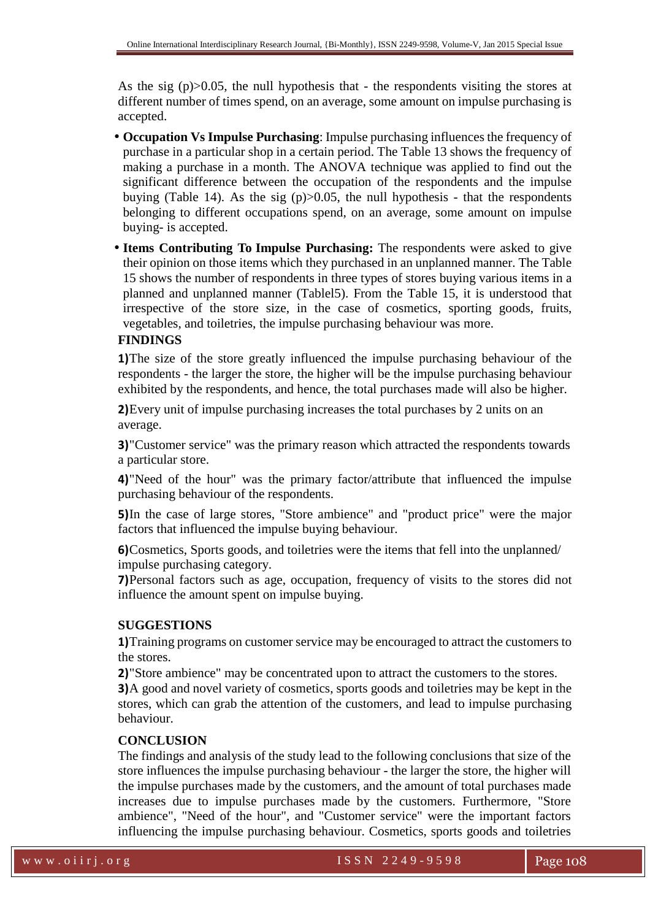As the sig  $(p) > 0.05$ , the null hypothesis that - the respondents visiting the stores at different number of times spend, on an average, some amount on impulse purchasing is accepted.

- **Occupation Vs Impulse Purchasing**: Impulse purchasing influences the frequency of purchase in a particular shop in a certain period. The Table 13 shows the frequency of making a purchase in a month. The ANOVA technique was applied to find out the significant difference between the occupation of the respondents and the impulse buying (Table 14). As the sig  $(p) > 0.05$ , the null hypothesis - that the respondents belonging to different occupations spend, on an average, some amount on impulse buying- is accepted.
- **Items Contributing To Impulse Purchasing:** The respondents were asked to give their opinion on those items which they purchased in an unplanned manner. The Table 15 shows the number of respondents in three types of stores buying various items in a planned and unplanned manner (Tablel5). From the Table 15, it is understood that irrespective of the store size, in the case of cosmetics, sporting goods, fruits, vegetables, and toiletries, the impulse purchasing behaviour was more.

# **FINDINGS**

**1)**The size of the store greatly influenced the impulse purchasing behaviour of the respondents - the larger the store, the higher will be the impulse purchasing behaviour exhibited by the respondents, and hence, the total purchases made will also be higher.

**2)**Every unit of impulse purchasing increases the total purchases by 2 units on an average.

**3)**"Customer service" was the primary reason which attracted the respondents towards a particular store.

**4)**"Need of the hour" was the primary factor/attribute that influenced the impulse purchasing behaviour of the respondents.

**5)**In the case of large stores, "Store ambience" and "product price" were the major factors that influenced the impulse buying behaviour.

**6)**Cosmetics, Sports goods, and toiletries were the items that fell into the unplanned/ impulse purchasing category.

**7)**Personal factors such as age, occupation, frequency of visits to the stores did not influence the amount spent on impulse buying.

# **SUGGESTIONS**

**1)**Training programs on customer service may be encouraged to attract the customers to the stores.

**2)**"Store ambience" may be concentrated upon to attract the customers to the stores.

**3)**A good and novel variety of cosmetics, sports goods and toiletries may be kept in the stores, which can grab the attention of the customers, and lead to impulse purchasing behaviour.

# **CONCLUSION**

The findings and analysis of the study lead to the following conclusions that size of the store influences the impulse purchasing behaviour - the larger the store, the higher will the impulse purchases made by the customers, and the amount of total purchases made increases due to impulse purchases made by the customers. Furthermore, "Store ambience", "Need of the hour", and "Customer service" were the important factors influencing the impulse purchasing behaviour. Cosmetics, sports goods and toiletries